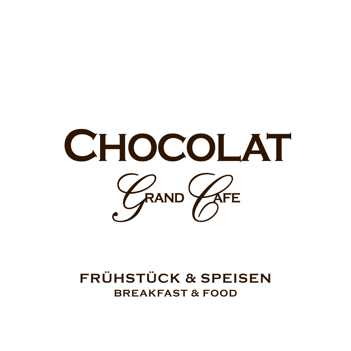

### **FRÜHSTÜCK & SPEISEN BREAKFAST & FOOD**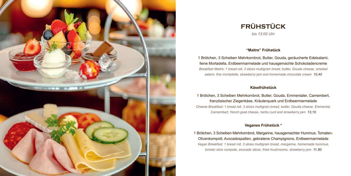

# **FRÜHSTÜCK**

*bis 13:00 Uhr*

#### **"Maitre" Frühstück**

1 Brötchen, 3 Scheiben Mehrkornbrot, Butter, Gouda, geräucherte Edelsalami, feine Mortadella, Erdbeermarmelade und hausgemachte Schokoladencreme *Breakfast Maitre: 1 bread roll, 3 slices multigrain bread, butter, Gouda cheese, smoked salami, fine mortadella, strawberry jam and homemade chocolate cream 10,40*

#### **Käsefrühstück**

1 Brötchen, 3 Scheiben Mehrkornbrot, Butter, Gouda, Emmentaler, Camembert, französischer Ziegenkäse, Kräuterquark und Erdbeermarmelade *Cheese Breakfast: 1 bread roll, 3 slices multigrain bread, butter, Gouda cheese, Emmental, Camembert, french goat cheese, herbs curd and strawberry jam 13,10*

#### **Veganes Frühstück \***

1 Brötchen, 3 Scheiben Mehrkornbrot, Margarine, hausgemachter Hummus, Tomaten-Olivenkompott, Avocadospalten, gebratene Champignons, Erdbeermarmelade *Vegan Breakfast: 1 bread roll, 3 slices multigrain bread, margarine, homemade hummus, tomato olive compote, avocado slices, fried mushrooms, strawberry jam 11,90*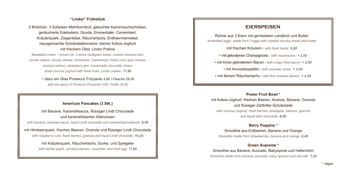#### **"Lindor" Frühstück**

2 Brötchen, 3 Scheiben Mehrkornbrot, gekochter Kaminrauchschinken, geräucherte Edelsalami, Gouda, Emmentaler, Camembert, Kräuterquark, Ziegenkäse, Räucherlachs, Erdbeermarmelad, hausgemachte Schokoladencreme, kleiner Kokos-Joghurt mit frischem Obst, Lindor Praline *Breakfast Lindor: 1 bread roll, 3 slices multigrain bread, cooked smoked ham,* 

*smoke salami, Gouda cheese, Emmental, Camembert, herbs curd, goat cheese, smoked salmon, strawberry jam, homemade chocolate cream, small coconut yoghurt with fresh fruits, Lindor praline 17,80*

+ dazu ein Glas Prosecco Frizzante *4,90 / Flasche 29,00 add one glass of Prosecco Frizzante 4,90 / bottle 32,80*

#### **American Pancakes (3 Stk.)**

mit Banane, Karamellsauce, flüssiger Lindt Chocolade und karamellisierten Walnüssen

*with banana, caramel sauce, liquid Lindt chocolate and caramelized walnuts 9,40*

mit Himbeerquark, frischen Beeren, Granola und flüssiger Lindt Chocolade *with raspberry curd, fresh berries, granola and liquid Lindt chocolate 10,20*

> mit Kräuterquark, Räucherlachs, Gurke, und Spiegelei *with herbal quark, smoked salmon, cucumber and fried egg 11,60*

#### **EIERSPEISEN**

Rührei aus 3 Eiern mit geröstetem Landbrot und Butter *scrambled eggs, made from 3 eggs with roasted country bread and butter*

mit frischen Kräutern */ with fresh herbs 6,90*

• mit gebratenen Champignons */ with mushrooms + 2,00*

• mit kross gebratenem Bacon */ with crispy fried bacon + 2,50*

• mit Avocadospalten */ with avocado slices + 3,00*

• mit feinem Räucherlachs */ with fine smoked salmon + 4,50*

**Power Fruit Bowl \***

mit Kokos-Joghurt, frischen Beeren, Ananas, Banane, Granola und flüssiger Zartbitter-Schokolade *with coconut yoghurt, fresh berries, pineapple, banana, granola and liquid dark chocolate 8,90*

#### **Berry Poppins \***

Smoothie aus Erdbeeren, Banane und Orange *Smoothie made from strawberries, banana and orange 6,40*

#### **Green Supreme \***

Smoothie aus Banane, Avocado, Babyspinat und Hafermilch *Smoothie made from banana, avocado, baby spinach and oat milk 7,20*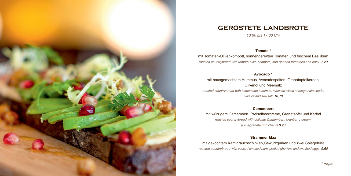

## **GERÖSTETE LANDBROTE**

*10:00 bis 17:00 Uhr*

#### **Tomate \***

mit Tomaten-Olivenkompott, sonnengereiften Tomaten und frischem Basilikum *roasted countrybread with tomato-olive-compote, sun-ripened tomatoes and basil 7,20*

**Avocado \*** 

mit hausgemachtem Hummus, Avocadospalten, Granatapfelkernen, Olivenöl und Meersalz *roasted countrybread with homemade hummus, avocado slices pomegranate seeds, olive oil and sea salt 10,70* 

#### **Camembert**

mit würzigem Camembert, Preiselbeercreme, Granatapfel und Kerbel *roasted countrybread with delicate Camembert, cranberry cream, pomegranate und chervil 8,90*

#### **Strammer Max**

mit gekochtem Kaminrauchschinken,Gewürzgurken und zwei Spiegeleier *roasted countrybread with cooked smoked ham, pickled gherkins and two fried eggs 9,60*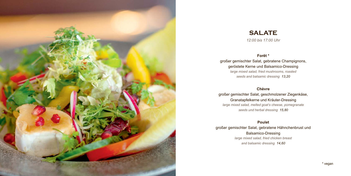

### **SALATE** *12:00 bis 17:00 Uhr*

#### **Forêt \***

großer gemischter Salat, gebratene Champignons, geröstete Kerne und Balsamico-Dressing *large mixed salad, fried mushrooms, roasted seeds and balsamic dressing 13,20*

#### **Chèvre**

großer gemischter Salat, geschmolzener Ziegenkäse, Granatapfelkerne und Kräuter-Dressing *large mixed salad, melted goat's cheese, pomegranate seeds und herbal dressing 15,80*

**Poulet** großer gemischter Salat, gebratene Hähnchenbrust und Balsamico-Dressing *large mixed salad, fried chicken breast and balsamic dressing 14,60*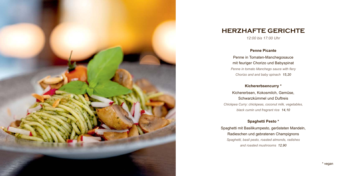

### **HERZHAFTE GERICHTE**

*12:00 bis 17:00 Uhr*

#### **Penne Picante**

Penne in Tomaten-Manchegosauce mit feuriger Chorizo und Babyspinat *Penne in tomato Manchego sauce with fiery Chorizo and and baby spinach 15,20*

#### **Kichererbsencurry \***

Kichererbsen, Kokosmilch, Gemüse, Schwarzkümmel und Duftreis *Chickpea Curry: chickpeas, coconut milk, vegetables, black cumin und fragrant rice 14,10*

#### **Spaghetti Pesto \***

Spaghetti mit Basilikumpesto, gerösteten Mandeln, Radieschen und gebratenen Champignons *Spaghetti, basil pesto, roasted almonds, radishes and roasted mushrooms 12,90*